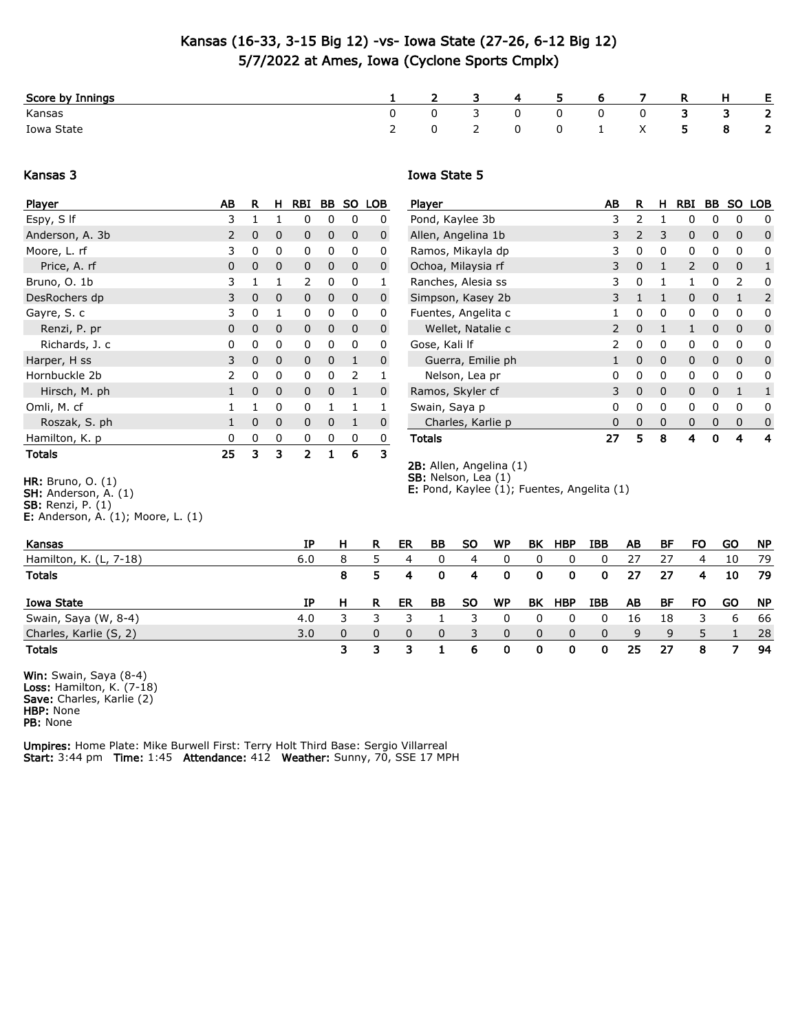## Kansas (16-33, 3-15 Big 12) -vs- Iowa State (27-26, 6-12 Big 12) 5/7/2022 at Ames, Iowa (Cyclone Sports Cmplx)

| Score by Innings |              | $\sim$ 4       | 5.           | 6                     |   | -R   | H  | E.                      |
|------------------|--------------|----------------|--------------|-----------------------|---|------|----|-------------------------|
| Kansas           | $0 \qquad 3$ |                | $\mathbf{0}$ | $\mathbf 0$           | 0 |      | 3  | $\overline{\mathbf{2}}$ |
| Iowa State       |              | $\overline{0}$ |              | $0 \qquad 1 \qquad X$ |   | $-5$ | -8 | $\overline{\mathbf{2}}$ |

## Kansas 3

## Iowa State 5

2B: Allen, Angelina (1) SB: Nelson, Lea (1)

**E:** Pond, Kaylee  $(1)$ ; Fuentes, Angelita  $(1)$ 

| Player          | AВ             | R | н            | RBI      | BВ           | <b>SO</b>    | <b>LOB</b> |
|-----------------|----------------|---|--------------|----------|--------------|--------------|------------|
| Espy, S If      | 3              | 1 | 1            | 0        | 0            | 0            | 0          |
| Anderson, A. 3b | $\overline{2}$ | 0 | 0            | 0        | 0            | 0            | 0          |
| Moore, L. rf    | 3              | 0 | 0            | 0        | 0            | 0            | 0          |
| Price, A. rf    | $\Omega$       | 0 | $\Omega$     | 0        | 0            | 0            | 0          |
| Bruno, O. 1b    | 3              | 1 | $\mathbf{1}$ | 2        | 0            | 0            | 1          |
| DesRochers dp   | 3              | 0 | $\Omega$     | 0        | 0            | 0            | 0          |
| Gayre, S. c     | 3              | 0 | $\mathbf{1}$ | 0        | 0            | 0            | 0          |
| Renzi, P. pr    | 0              | 0 | 0            | 0        | 0            | 0            | 0          |
| Richards, J. c  | 0              | 0 | 0            | 0        | 0            | 0            | 0          |
| Harper, H ss    | 3              | 0 | $\Omega$     | $\Omega$ | $\Omega$     | $\mathbf{1}$ | 0          |
| Hornbuckle 2b   | 2              | 0 | 0            | 0        | 0            | 2            | 1          |
| Hirsch, M. ph   | $\mathbf{1}$   | 0 | $\Omega$     | $\Omega$ | 0            | 1            | 0          |
| Omli, M. cf     | 1              | 1 | 0            | 0        | $\mathbf{1}$ | 1            |            |
| Roszak, S. ph   | $\mathbf{1}$   | 0 | $\Omega$     | 0        | 0            | 1            | 0          |
| Hamilton, K. p  | 0              | 0 | 0            | 0        | 0            | 0            | 0          |
| <b>Totals</b>   | 25             | 3 | з            | 2        | $\mathbf{1}$ | 6            | 3          |

| Player              | AΒ | R              | н        | <b>RBI</b>     | BВ | SO.      | LOB |
|---------------------|----|----------------|----------|----------------|----|----------|-----|
| Pond, Kaylee 3b     | 3  | $\overline{2}$ | 1        | 0              | 0  | 0        | 0   |
| Allen, Angelina 1b  | 3  | 2              | 3        | 0              | 0  | 0        | 0   |
| Ramos, Mikayla dp   | 3  | 0              | 0        | 0              | 0  | 0        | 0   |
| Ochoa, Milaysia rf  | 3  | 0              | 1        | $\overline{2}$ | 0  | 0        | 1   |
| Ranches, Alesia ss  | 3  | 0              | 1        | 1              | 0  | 2        | 0   |
| Simpson, Kasey 2b   | 3  | $\mathbf{1}$   | 1        | 0              | 0  | 1        | 2   |
| Fuentes, Angelita c | 1  | 0              | 0        | 0              | 0  | 0        | 0   |
| Wellet, Natalie c   | 2  | 0              | 1        | $\mathbf{1}$   | 0  | $\Omega$ | 0   |
| Gose, Kali If       | 2  | 0              | 0        | 0              | 0  | 0        | 0   |
| Guerra, Emilie ph   | 1  | 0              | $\Omega$ | 0              | 0  | 0        | 0   |
| Nelson, Lea pr      | 0  | 0              | 0        | 0              | 0  | 0        | 0   |
| Ramos, Skyler cf    | 3  | 0              | $\Omega$ | 0              | 0  | 1        | 1   |
| Swain, Saya p       | 0  | 0              | 0        | 0              | 0  | 0        | 0   |
| Charles, Karlie p   | 0  | 0              | 0        | 0              | 0  | 0        | 0   |
| <b>Totals</b>       | 27 | 5              | 8        | 4              | 0  | 4        | 4   |

HR: Bruno, O. (1)

E: Anderson, A. (1); Moore, L. (1)

| Kansas                 | IΡ  | н | R | ER | BВ       | SO        | WP        | ΒK  | <b>HBP</b> | IBB      | AB  | ВF | FO | GO | <b>NP</b> |
|------------------------|-----|---|---|----|----------|-----------|-----------|-----|------------|----------|-----|----|----|----|-----------|
| Hamilton, K. (L, 7-18) | 6.0 | 8 |   | 4  | 0        | 4         | 0         |     |            |          | -27 | 27 | 4  | 10 | 79        |
| <b>Totals</b>          |     | 8 |   | 4  | 0        | 4         | 0         | 0   | 0          | 0        | 27  | 27 | 4  | 10 | 79        |
| Iowa State             | ΙP  |   | R | ER | BВ       | <b>SO</b> | <b>WP</b> | BK. | HBP        | IBB      | AB  | BF | FO | GO | <b>NP</b> |
|                        |     |   |   |    |          |           |           |     |            |          |     |    |    |    |           |
| Swain, Saya (W, 8-4)   | 4.0 |   |   |    |          |           |           |     |            |          | 16  | 18 |    | 6  | 66        |
| Charles, Karlie (S, 2) | 3.0 | 0 | 0 | 0  | $\Omega$ |           | 0         | 0   | 0          | $\Omega$ | 9   | 9  | 5  |    | -28       |

Win: Swain, Saya (8-4) Loss: Hamilton, K. (7-18) **Save:** Charles, Karlie (2) HBP: None PB: None

Umpires: Home Plate: Mike Burwell First: Terry Holt Third Base: Sergio Villarreal Start: 3:44 pm Time: 1:45 Attendance: 412 Weather: Sunny, 70, SSE 17 MPH

SH: Anderson, A. (1)

**SB:** Renzi, P.  $(1)$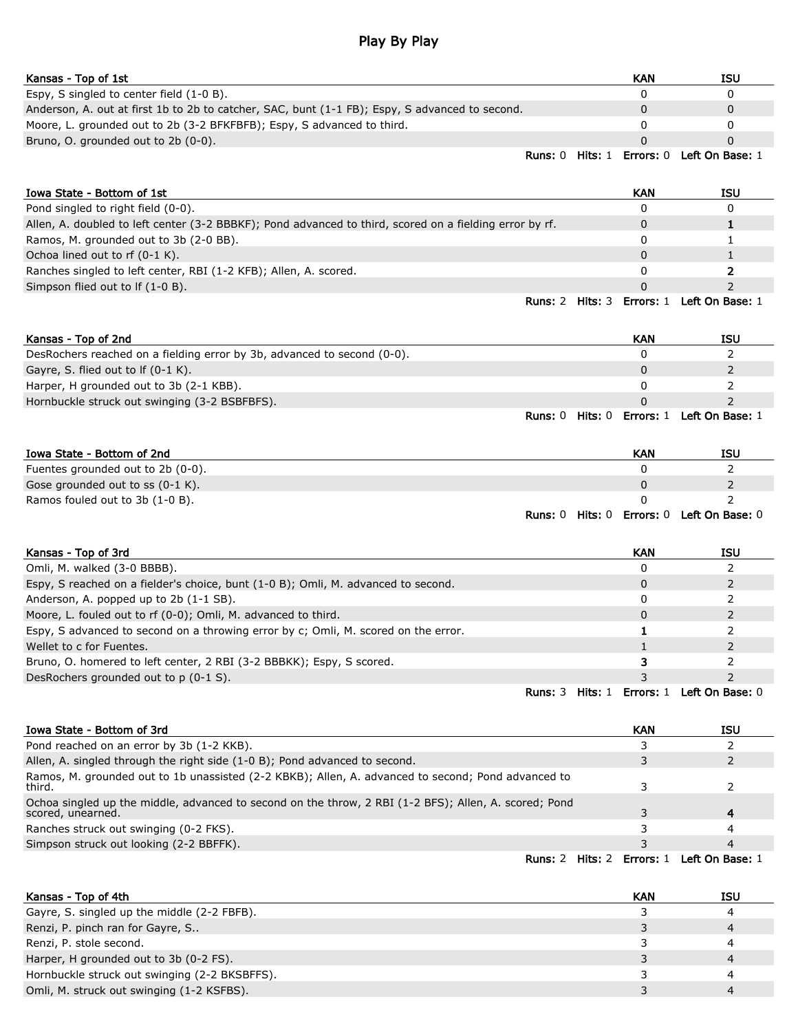## Play By Play

| Kansas - Top of 1st                                                                            |         |         | KAN              | <b>ISU</b>      |
|------------------------------------------------------------------------------------------------|---------|---------|------------------|-----------------|
| Espy, S singled to center field (1-0 B).                                                       |         |         |                  |                 |
| Anderson, A. out at first 1b to 2b to catcher, SAC, bunt (1-1 FB); Espy, S advanced to second. |         |         |                  |                 |
| Moore, L. grounded out to 2b (3-2 BFKFBFB); Espy, S advanced to third.                         |         |         |                  |                 |
| Bruno, O. grounded out to 2b (0-0).                                                            |         |         |                  |                 |
|                                                                                                | Runs: 0 | Hits: 1 | <b>Errors:</b> 0 | Left On Base: 1 |

| Iowa State - Bottom of 1st                                                                              |                           | KAN | ISU             |
|---------------------------------------------------------------------------------------------------------|---------------------------|-----|-----------------|
| Pond singled to right field (0-0).                                                                      |                           |     |                 |
| Allen, A. doubled to left center (3-2 BBBKF); Pond advanced to third, scored on a fielding error by rf. |                           |     |                 |
| Ramos, M. grounded out to 3b (2-0 BB).                                                                  |                           |     |                 |
| Ochoa lined out to rf (0-1 K).                                                                          |                           |     |                 |
| Ranches singled to left center, RBI (1-2 KFB); Allen, A. scored.                                        |                           |     |                 |
| Simpson flied out to If (1-0 B).                                                                        |                           |     |                 |
|                                                                                                         | Runs: 2 Hits: 3 Errors: 1 |     | Left On Base: 1 |

| Kansas - Top of 2nd                                                     |         |                | <b>KAN</b> | ISU             |
|-------------------------------------------------------------------------|---------|----------------|------------|-----------------|
| DesRochers reached on a fielding error by 3b, advanced to second (0-0). |         |                |            |                 |
| Gayre, S. flied out to If $(0-1 K)$ .                                   |         |                |            |                 |
| Harper, H grounded out to 3b (2-1 KBB).                                 |         |                |            |                 |
| Hornbuckle struck out swinging (3-2 BSBFBFS).                           |         |                |            |                 |
|                                                                         | Runs: ( | <b>Hits:</b> 0 | Errors: 1  | Left On Base: 1 |

| Iowa State - Bottom of 2nd        |                |         | KAN | ISU                              |
|-----------------------------------|----------------|---------|-----|----------------------------------|
| Fuentes grounded out to 2b (0-0). |                |         |     |                                  |
| Gose grounded out to ss (0-1 K).  |                |         |     |                                  |
| Ramos fouled out to 3b (1-0 B).   |                |         |     |                                  |
|                                   | <b>Runs:</b> 0 | Hits: 0 |     | <b>Errors: 0 Left On Base: 0</b> |

| Kansas - Top of 3rd                                                                |         | <b>KAN</b> | <b>ISU</b>                        |
|------------------------------------------------------------------------------------|---------|------------|-----------------------------------|
| Omli, M. walked (3-0 BBBB).                                                        |         |            |                                   |
| Espy, S reached on a fielder's choice, bunt (1-0 B); Omli, M. advanced to second.  |         |            |                                   |
| Anderson, A. popped up to 2b (1-1 SB).                                             |         |            |                                   |
| Moore, L. fouled out to rf (0-0); Omli, M. advanced to third.                      |         |            |                                   |
| Espy, S advanced to second on a throwing error by c; Omli, M. scored on the error. |         |            |                                   |
| Wellet to c for Fuentes.                                                           |         |            |                                   |
| Bruno, O. homered to left center, 2 RBI (3-2 BBBKK); Espy, S scored.               |         |            |                                   |
| DesRochers grounded out to p (0-1 S).                                              |         |            |                                   |
|                                                                                    | Runs: 3 |            | Hits: 1 Errors: 1 Left On Base: 0 |

| Iowa State - Bottom of 3rd                                                                                                 |         | <b>KAN</b> | ISU             |
|----------------------------------------------------------------------------------------------------------------------------|---------|------------|-----------------|
| Pond reached on an error by 3b (1-2 KKB).                                                                                  |         |            |                 |
| Allen, A. singled through the right side (1-0 B); Pond advanced to second.                                                 |         | 3.         |                 |
| Ramos, M. grounded out to 1b unassisted (2-2 KBKB); Allen, A. advanced to second; Pond advanced to<br>third.               |         |            |                 |
| Ochoa singled up the middle, advanced to second on the throw, 2 RBI (1-2 BFS); Allen, A. scored; Pond<br>scored, unearned. |         |            | 4               |
| Ranches struck out swinging (0-2 FKS).                                                                                     |         |            | 4               |
| Simpson struck out looking (2-2 BBFFK).                                                                                    |         |            | 4               |
| Runs: 2                                                                                                                    | Hits: 2 | Errors: 1  | Left On Base: 1 |

| Kansas - Top of 4th                           | KAN | ISU |
|-----------------------------------------------|-----|-----|
| Gayre, S. singled up the middle (2-2 FBFB).   |     |     |
| Renzi, P. pinch ran for Gayre, S              |     | 4   |
| Renzi, P. stole second.                       |     |     |
| Harper, H grounded out to 3b (0-2 FS).        |     |     |
| Hornbuckle struck out swinging (2-2 BKSBFFS). |     |     |
| Omli, M. struck out swinging (1-2 KSFBS).     |     |     |